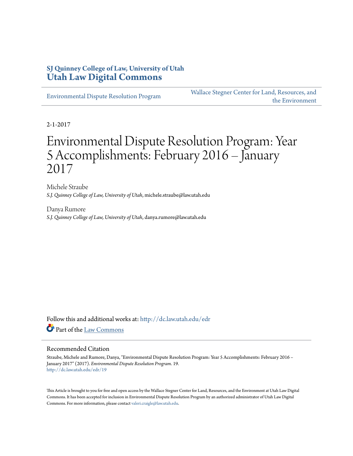# **SJ Quinney College of Law, University of Utah [Utah Law Digital Commons](http://dc.law.utah.edu?utm_source=dc.law.utah.edu%2Fedr%2F19&utm_medium=PDF&utm_campaign=PDFCoverPages)**

[Environmental Dispute Resolution Program](http://dc.law.utah.edu/edr?utm_source=dc.law.utah.edu%2Fedr%2F19&utm_medium=PDF&utm_campaign=PDFCoverPages)

[Wallace Stegner Center for Land, Resources, and](http://dc.law.utah.edu/stegner?utm_source=dc.law.utah.edu%2Fedr%2F19&utm_medium=PDF&utm_campaign=PDFCoverPages) [the Environment](http://dc.law.utah.edu/stegner?utm_source=dc.law.utah.edu%2Fedr%2F19&utm_medium=PDF&utm_campaign=PDFCoverPages)

2-1-2017

# Environmental Dispute Resolution Program: Year 5 Accomplishments: February 2016 – January 2017

Michele Straube *S.J. Quinney College of Law, University of Utah*, michele.straube@law.utah.edu

Danya Rumore *S.J. Quinney College of Law, University of Utah*, danya.rumore@law.utah.edu

Follow this and additional works at: [http://dc.law.utah.edu/edr](http://dc.law.utah.edu/edr?utm_source=dc.law.utah.edu%2Fedr%2F19&utm_medium=PDF&utm_campaign=PDFCoverPages) Part of the [Law Commons](http://network.bepress.com/hgg/discipline/578?utm_source=dc.law.utah.edu%2Fedr%2F19&utm_medium=PDF&utm_campaign=PDFCoverPages)

#### Recommended Citation

Straube, Michele and Rumore, Danya, "Environmental Dispute Resolution Program: Year 5 Accomplishments: February 2016 – January 2017" (2017). *Environmental Dispute Resolution Program*. 19. [http://dc.law.utah.edu/edr/19](http://dc.law.utah.edu/edr/19?utm_source=dc.law.utah.edu%2Fedr%2F19&utm_medium=PDF&utm_campaign=PDFCoverPages)

This Article is brought to you for free and open access by the Wallace Stegner Center for Land, Resources, and the Environment at Utah Law Digital Commons. It has been accepted for inclusion in Environmental Dispute Resolution Program by an authorized administrator of Utah Law Digital Commons. For more information, please contact [valeri.craigle@law.utah.edu](mailto:valeri.craigle@law.utah.edu).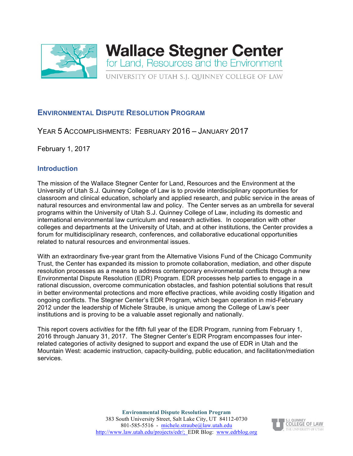

# **ENVIRONMENTAL DISPUTE RESOLUTION PROGRAM**

# YEAR 5 ACCOMPLISHMENTS: FEBRUARY 2016 – JANUARY 2017

February 1, 2017

# **Introduction**

The mission of the Wallace Stegner Center for Land, Resources and the Environment at the University of Utah S.J. Quinney College of Law is to provide interdisciplinary opportunities for classroom and clinical education, scholarly and applied research, and public service in the areas of natural resources and environmental law and policy. The Center serves as an umbrella for several programs within the University of Utah S.J. Quinney College of Law, including its domestic and international environmental law curriculum and research activities. In cooperation with other colleges and departments at the University of Utah, and at other institutions, the Center provides a forum for multidisciplinary research, conferences, and collaborative educational opportunities related to natural resources and environmental issues.

With an extraordinary five-year grant from the Alternative Visions Fund of the Chicago Community Trust, the Center has expanded its mission to promote collaboration, mediation, and other dispute resolution processes as a means to address contemporary environmental conflicts through a new Environmental Dispute Resolution (EDR) Program. EDR processes help parties to engage in a rational discussion, overcome communication obstacles, and fashion potential solutions that result in better environmental protections and more effective practices, while avoiding costly litigation and ongoing conflicts. The Stegner Center's EDR Program, which began operation in mid-February 2012 under the leadership of Michele Straube, is unique among the College of Law's peer institutions and is proving to be a valuable asset regionally and nationally.

This report covers *activities* for the fifth full year of the EDR Program, running from February 1, 2016 through January 31, 2017. The Stegner Center's EDR Program encompasses four interrelated categories of activity designed to support and expand the use of EDR in Utah and the Mountain West: academic instruction, capacity-building, public education, and facilitation/mediation services.

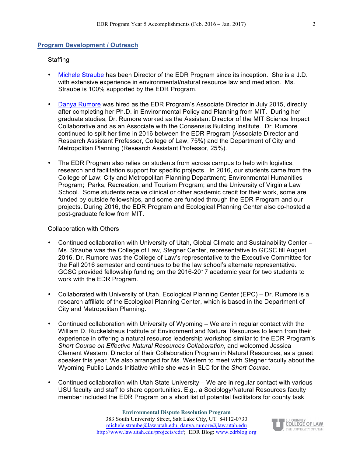#### **Program Development / Outreach**

#### **Staffing**

- Michele Straube has been Director of the EDR Program since its inception. She is a J.D. with extensive experience in environmental/natural resource law and mediation. Ms. Straube is 100% supported by the EDR Program.
- Danya Rumore was hired as the EDR Program's Associate Director in July 2015, directly after completing her Ph.D. in Environmental Policy and Planning from MIT. During her graduate studies, Dr. Rumore worked as the Assistant Director of the MIT Science Impact Collaborative and as an Associate with the Consensus Building Institute. Dr. Rumore continued to split her time in 2016 between the EDR Program (Associate Director and Research Assistant Professor, College of Law, 75%) and the Department of City and Metropolitan Planning (Research Assistant Professor, 25%).
- The EDR Program also relies on students from across campus to help with logistics, research and facilitation support for specific projects. In 2016, our students came from the College of Law; City and Metropolitan Planning Department; Environmental Humanities Program; Parks, Recreation, and Tourism Program; and the University of Virginia Law School. Some students receive clinical or other academic credit for their work, some are funded by outside fellowships, and some are funded through the EDR Program and our projects. During 2016, the EDR Program and Ecological Planning Center also co-hosted a post-graduate fellow from MIT.

#### Collaboration with Others

- Continued collaboration with University of Utah, Global Climate and Sustainability Center Ms. Straube was the College of Law, Stegner Center, representative to GCSC till August 2016. Dr. Rumore was the College of Law's representative to the Executive Committee for the Fall 2016 semester and continues to be the law school's alternate representative. GCSC provided fellowship funding om the 2016-2017 academic year for two students to work with the EDR Program.
- Collaborated with University of Utah, Ecological Planning Center (EPC) Dr. Rumore is a research affiliate of the Ecological Planning Center, which is based in the Department of City and Metropolitan Planning.
- Continued collaboration with University of Wyoming We are in regular contact with the William D. Ruckelshaus Institute of Environment and Natural Resources to learn from their experience in offering a natural resource leadership workshop similar to the EDR Program's *Short Course on Effective Natural Resources Collaboration*, and welcomed Jessica Clement Western, Director of their Collaboration Program in Natural Resources, as a guest speaker this year. We also arranged for Ms. Western to meet with Stegner faculty about the Wyoming Public Lands Initiative while she was in SLC for the *Short Course*.
- Continued collaboration with Utah State University We are in regular contact with various USU faculty and staff to share opportunities. E.g., a Sociology/Natural Resources faculty member included the EDR Program on a short list of potential facilitators for county task

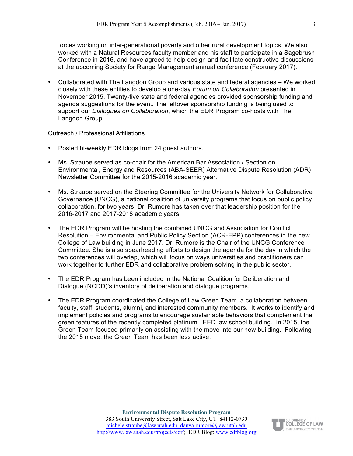forces working on inter-generational poverty and other rural development topics. We also worked with a Natural Resources faculty member and his staff to participate in a Sagebrush Conference in 2016, and have agreed to help design and facilitate constructive discussions at the upcoming Society for Range Management annual conference (February 2017).

• Collaborated with The Langdon Group and various state and federal agencies – We worked closely with these entities to develop a one-day *Forum on Collaboration* presented in November 2015. Twenty-five state and federal agencies provided sponsorship funding and agenda suggestions for the event. The leftover sponsorship funding is being used to support our *Dialogues on Collaboration*, which the EDR Program co-hosts with The Langdon Group.

#### Outreach / Professional Affiliations

- Posted bi-weekly EDR blogs from 24 guest authors.
- Ms. Straube served as co-chair for the American Bar Association / Section on Environmental, Energy and Resources (ABA-SEER) Alternative Dispute Resolution (ADR) Newsletter Committee for the 2015-2016 academic year.
- Ms. Straube served on the Steering Committee for the University Network for Collaborative Governance (UNCG), a national coalition of university programs that focus on public policy collaboration, for two years. Dr. Rumore has taken over that leadership position for the 2016-2017 and 2017-2018 academic years.
- The EDR Program will be hosting the combined UNCG and Association for Conflict Resolution – Environmental and Public Policy Section (ACR-EPP) conferences in the new College of Law building in June 2017. Dr. Rumore is the Chair of the UNCG Conference Committee. She is also spearheading efforts to design the agenda for the day in which the two conferences will overlap, which will focus on ways universities and practitioners can work together to further EDR and collaborative problem solving in the public sector.
- The EDR Program has been included in the National Coalition for Deliberation and Dialogue (NCDD)'s inventory of deliberation and dialogue programs.
- The EDR Program coordinated the College of Law Green Team, a collaboration between faculty, staff, students, alumni, and interested community members. It works to identify and implement policies and programs to encourage sustainable behaviors that complement the green features of the recently completed platinum LEED law school building. In 2015, the Green Team focused primarily on assisting with the move into our new building. Following the 2015 move, the Green Team has been less active.

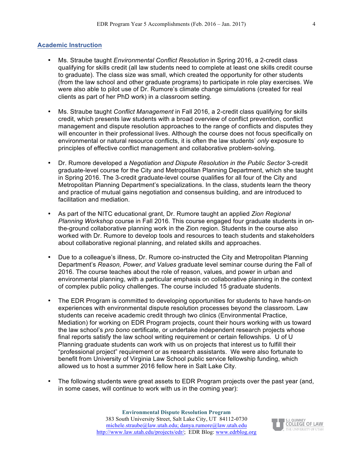#### **Academic Instruction**

- Ms. Straube taught *Environmental Conflict Resolution* in Spring 2016, a 2-credit class qualifying for skills credit (all law students need to complete at least one skills credit course to graduate). The class size was small, which created the opportunity for other students (from the law school and other graduate programs) to participate in role play exercises. We were also able to pilot use of Dr. Rumore's climate change simulations (created for real clients as part of her PhD work) in a classroom setting.
- Ms. Straube taught *Conflict Management* in Fall 2016, a 2-credit class qualifying for skills credit, which presents law students with a broad overview of conflict prevention, conflict management and dispute resolution approaches to the range of conflicts and disputes they will encounter in their professional lives. Although the course does not focus specifically on environmental or natural resource conflicts, it is often the law students' *only* exposure to principles of effective conflict management and collaborative problem-solving.
- Dr. Rumore developed a *Negotiation and Dispute Resolution in the Public Sector* 3-credit graduate-level course for the City and Metropolitan Planning Department, which she taught in Spring 2016. The 3-credit graduate-level course qualifies for all four of the City and Metropolitan Planning Department's specializations. In the class, students learn the theory and practice of mutual gains negotiation and consensus building, and are introduced to facilitation and mediation.
- As part of the NITC educational grant, Dr. Rumore taught an applied *Zion Regional Planning Workshop* course in Fall 2016. This course engaged four graduate students in onthe-ground collaborative planning work in the Zion region. Students in the course also worked with Dr. Rumore to develop tools and resources to teach students and stakeholders about collaborative regional planning, and related skills and approaches.
- Due to a colleague's illness, Dr. Rumore co-instructed the City and Metropolitan Planning Department's *Reason, Power, and Values* graduate level seminar course during the Fall of 2016. The course teaches about the role of reason, values, and power in urban and environmental planning, with a particular emphasis on collaborative planning in the context of complex public policy challenges. The course included 15 graduate students.
- The EDR Program is committed to developing opportunities for students to have hands-on experiences with environmental dispute resolution processes beyond the classroom. Law students can receive academic credit through two clinics (Environmental Practice, Mediation) for working on EDR Program projects, count their hours working with us toward the law school's *pro bono* certificate, or undertake independent research projects whose final reports satisfy the law school writing requirement or certain fellowships. U of U Planning graduate students can work with us on projects that interest us to fulfill their "professional project" requirement or as research assistants. We were also fortunate to benefit from University of Virginia Law School public service fellowship funding, which allowed us to host a summer 2016 fellow here in Salt Lake City.
- The following students were great assets to EDR Program projects over the past year (and, in some cases, will continue to work with us in the coming year):

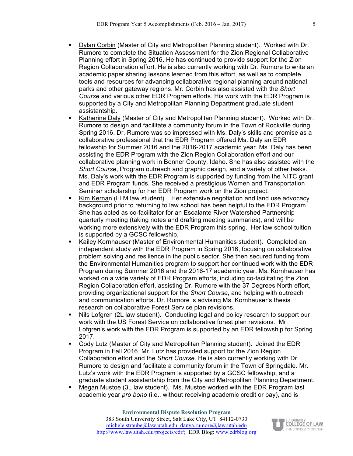- ! Dylan Corbin (Master of City and Metropolitan Planning student). Worked with Dr. Rumore to complete the Situation Assessment for the Zion Regional Collaborative Planning effort in Spring 2016. He has continued to provide support for the Zion Region Collaboration effort. He is also currently working with Dr. Rumore to write an academic paper sharing lessons learned from this effort, as well as to complete tools and resources for advancing collaborative regional planning around national parks and other gateway regions. Mr. Corbin has also assisted with the *Short Course* and various other EDR Program efforts. His work with the EDR Program is supported by a City and Metropolitan Planning Department graduate student assistantship.
- ! Katherine Daly (Master of City and Metropolitan Planning student). Worked with Dr. Rumore to design and facilitate a community forum in the Town of Rockville during Spring 2016. Dr. Rumore was so impressed with Ms. Daly's skills and promise as a collaborative professional that the EDR Program offered Ms. Daly an EDR fellowship for Summer 2016 and the 2016-2017 academic year. Ms. Daly has been assisting the EDR Program with the Zion Region Collaboration effort and our collaborative planning work in Bonner County, Idaho. She has also assisted with the *Short Course*, Program outreach and graphic design, and a variety of other tasks. Ms. Daly's work with the EDR Program is supported by funding from the NITC grant and EDR Program funds. She received a prestigious Women and Transportation Seminar scholarship for her EDR Program work on the Zion project.
- ! Kim Kernan (LLM law student). Her extensive negotiation and land use advocacy background prior to returning to law school has been helpful to the EDR Program. She has acted as co-facilitator for an Escalante River Watershed Partnership quarterly meeting (taking notes and drafting meeting summaries), and will be working more extensively with the EDR Program this spring. Her law school tuition is supported by a GCSC fellowship.
- ! Kailey Kornhauser (Master of Environmental Humanities student). Completed an independent study with the EDR Program in Spring 2016, focusing on collaborative problem solving and resilience in the public sector. She then secured funding from the Environmental Humanities program to support her continued work with the EDR Program during Summer 2016 and the 2016-17 academic year. Ms. Kornhauser has worked on a wide variety of EDR Program efforts, including co-facilitating the Zion Region Collaboration effort, assisting Dr. Rumore with the 37 Degrees North effort, providing organizational support for the *Short Course*, and helping with outreach and communication efforts. Dr. Rumore is advising Ms. Kornhauser's thesis research on collaborative Forest Service plan revisions.
- Nils Lofgren (2L law student). Conducting legal and policy research to support our work with the US Forest Service on collaborative forest plan revisions. Mr. Lofgren's work with the EDR Program is supported by an EDR fellowship for Spring 2017.
- ! Cody Lutz (Master of City and Metropolitan Planning student). Joined the EDR Program in Fall 2016. Mr. Lutz has provided support for the Zion Region Collaboration effort and the *Short Course*. He is also currently working with Dr. Rumore to design and facilitate a community forum in the Town of Springdale. Mr. Lutz's work with the EDR Program is supported by a GCSC fellowship, and a graduate student assistantship from the City and Metropolitan Planning Department.
- ! Megan Mustoe (3L law student). Ms. Mustoe worked with the EDR Program last academic year *pro bono* (i.e., without receiving academic credit or pay), and is

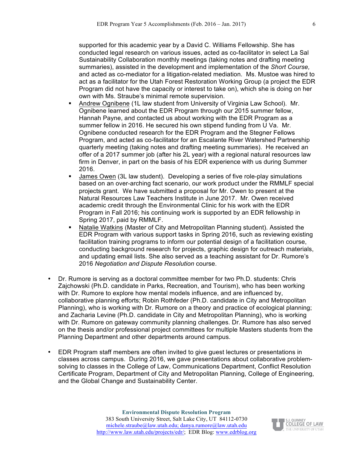supported for this academic year by a David C. Williams Fellowship. She has conducted legal research on various issues, acted as co-facilitator in select La Sal Sustainability Collaboration monthly meetings (taking notes and drafting meeting summaries), assisted in the development and implementation of the *Short Course,*  and acted as co-mediator for a litigation-related mediation. Ms. Mustoe was hired to act as a facilitator for the Utah Forest Restoration Working Group (a project the EDR Program did not have the capacity or interest to take on), which she is doing on her own with Ms. Straube's minimal remote supervision.

- ! Andrew Ognibene (1L law student from University of Virginia Law School). Mr. Ognibene learned about the EDR Program through our 2015 summer fellow, Hannah Payne, and contacted us about working with the EDR Program as a summer fellow in 2016. He secured his own stipend funding from U Va. Mr. Ognibene conducted research for the EDR Program and the Stegner Fellows Program, and acted as co-facilitator for an Escalante River Watershed Partnership quarterly meeting (taking notes and drafting meeting summaries). He received an offer of a 2017 summer job (after his 2L year) with a regional natural resources law firm in Denver, in part on the basis of his EDR experience with us during Summer 2016.
- ! James Owen (3L law student). Developing a series of five role-play simulations based on an over-arching fact scenario, our work product under the RMMLF special projects grant. We have submitted a proposal for Mr. Owen to present at the Natural Resources Law Teachers Institute in June 2017. Mr. Owen received academic credit through the Environmental Clinic for his work with the EDR Program in Fall 2016; his continuing work is supported by an EDR fellowship in Spring 2017, paid by RMMLF.
- ! Natalie Watkins (Master of City and Metropolitan Planning student). Assisted the EDR Program with various support tasks in Spring 2016, such as reviewing existing facilitation training programs to inform our potential design of a facilitation course, conducting background research for projects, graphic design for outreach materials, and updating email lists. She also served as a teaching assistant for Dr. Rumore's 2016 *Negotiation and Dispute Resolution* course.
- Dr. Rumore is serving as a doctoral committee member for two Ph.D. students: Chris Zajchowski (Ph.D. candidate in Parks, Recreation, and Tourism), who has been working with Dr. Rumore to explore how mental models influence, and are influenced by, collaborative planning efforts; Robin Rothfeder (Ph.D. candidate in City and Metropolitan Planning), who is working with Dr. Rumore on a theory and practice of ecological planning; and Zacharia Levine (Ph.D. candidate in City and Metropolitan Planning), who is working with Dr. Rumore on gateway community planning challenges. Dr. Rumore has also served on the thesis and/or professional project committees for multiple Masters students from the Planning Department and other departments around campus.
- EDR Program staff members are often invited to give guest lectures or presentations in classes across campus. During 2016, we gave presentations about collaborative problemsolving to classes in the College of Law, Communications Department, Conflict Resolution Certificate Program, Department of City and Metropolitan Planning, College of Engineering, and the Global Change and Sustainability Center.

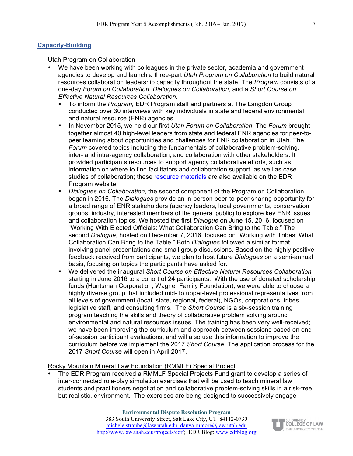## **Capacity-Building**

#### Utah Program on Collaboration

- We have been working with colleagues in the private sector, academia and government agencies to develop and launch a three-part *Utah Program on Collaboration* to build natural resources collaboration leadership capacity throughout the state. The *Program* consists of a one-day *Forum on Collaboration*, *Dialogues on Collaboration*, and a *Short Course on Effective Natural Resources Collaboration*.
	- ! To inform the *Program,* EDR Program staff and partners at The Langdon Group conducted over 30 interviews with key individuals in state and federal environmental and natural resource (ENR) agencies.
	- ! In November 2015, we held our first *Utah Forum on Collaboration.* The *Forum* brought together almost 40 high-level leaders from state and federal ENR agencies for peer-topeer learning about opportunities and challenges for ENR collaboration in Utah. The *Forum* covered topics including the fundamentals of collaborative problem-solving, inter- and intra-agency collaboration, and collaboration with other stakeholders. It provided participants resources to support agency collaborative efforts, such as information on where to find facilitators and collaboration support, as well as case studies of collaboration; these resource materials are also available on the EDR Program website.
	- ! *Dialogues on Collaboration*, the second component of the Program on Collaboration, began in 2016*.* The *Dialogues* provide an in-person peer-to-peer sharing opportunity for a broad range of ENR stakeholders (agency leaders, local governments, conservation groups, industry, interested members of the general public) to explore key ENR issues and collaboration topics. We hosted the first *Dialogue* on June 15, 2016, focused on "Working With Elected Officials: What Collaboration Can Bring to the Table." The second *Dialogue*, hosted on December 7, 2016, focused on "Working with Tribes: What Collaboration Can Bring to the Table." Both *Dialogues* followed a similar format, involving panel presentations and small group discussions. Based on the highly positive feedback received from participants, we plan to host future *Dialogues* on a semi-annual basis, focusing on topics the participants have asked for.
	- ! We delivered the inaugural *Short Course on Effective Natural Resources Collaboration* starting in June 2016 to a cohort of 24 participants. With the use of donated scholarship funds (Huntsman Corporation, Wagner Family Foundation), we were able to choose a highly diverse group that included mid- to upper-level professional representatives from all levels of government (local, state, regional, federal), NGOs, corporations, tribes, legislative staff, and consulting firms. The *Short Course* is a six-session training program teaching the skills and theory of collaborative problem solving around environmental and natural resources issues. The training has been very well-received; we have been improving the curriculum and approach between sessions based on endof-session participant evaluations, and will also use this information to improve the curriculum before we implement the 2017 *Short Course*. The application process for the 2017 *Short Cours*e will open in April 2017.

#### Rocky Mountain Mineral Law Foundation (RMMLF) Special Project

• The EDR Program received a RMMLF Special Projects Fund grant to develop a series of inter-connected role-play simulation exercises that will be used to teach mineral law students and practitioners negotiation and collaborative problem-solving skills in a risk-free, but realistic, environment. The exercises are being designed to successively engage

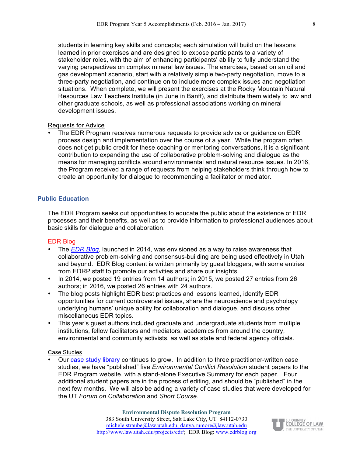students in learning key skills and concepts; each simulation will build on the lessons learned in prior exercises and are designed to expose participants to a variety of stakeholder roles, with the aim of enhancing participants' ability to fully understand the varying perspectives on complex mineral law issues. The exercises, based on an oil and gas development scenario, start with a relatively simple two-party negotiation, move to a three-party negotiation, and continue on to include more complex issues and negotiation situations. When complete, we will present the exercises at the Rocky Mountain Natural Resources Law Teachers Institute (in June in Banff), and distribute them widely to law and other graduate schools, as well as professional associations working on mineral development issues.

#### Requests for Advice

• The EDR Program receives numerous requests to provide advice or guidance on EDR process design and implementation over the course of a year. While the program often does not get public credit for these coaching or mentoring conversations, it is a significant contribution to expanding the use of collaborative problem-solving and dialogue as the means for managing conflicts around environmental and natural resource issues. In 2016, the Program received a range of requests from helping stakeholders think through how to create an opportunity for dialogue to recommending a facilitator or mediator.

#### **Public Education**

The EDR Program seeks out opportunities to educate the public about the existence of EDR processes and their benefits, as well as to provide information to professional audiences about basic skills for dialogue and collaboration.

#### EDR Blog

- The *EDR Blog*, launched in 2014, was envisioned as a way to raise awareness that collaborative problem-solving and consensus-building are being used effectively in Utah and beyond. EDR Blog content is written primarily by guest bloggers, with some entries from EDRP staff to promote our activities and share our insights.
- In 2014, we posted 19 entries from 14 authors; in 2015, we posted 27 entries from 26 authors; in 2016, we posted 26 entries with 24 authors.
- The blog posts highlight EDR best practices and lessons learned, identify EDR opportunities for current controversial issues, share the neuroscience and psychology underlying humans' unique ability for collaboration and dialogue, and discuss other miscellaneous EDR topics.
- This year's guest authors included graduate and undergraduate students from multiple institutions, fellow facilitators and mediators, academics from around the country, environmental and community activists, as well as state and federal agency officials.

#### Case Studies

• Our case study library continues to grow. In addition to three practitioner-written case studies, we have "published" five *Environmental Conflict Resolution* student papers to the EDR Program website, with a stand-alone Executive Summary for each paper. Four additional student papers are in the process of editing, and should be "published" in the next few months. We will also be adding a variety of case studies that were developed for the UT *Forum on Collaboration* and *Short Course*.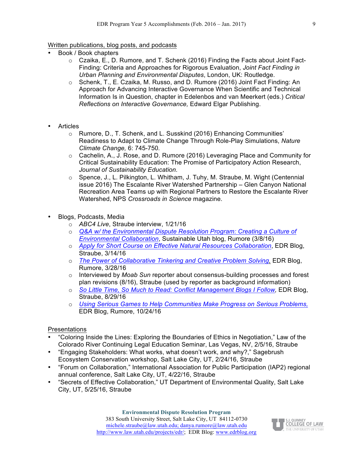## Written publications, blog posts, and podcasts

- Book / Book chapters
	- o Czaika, E., D. Rumore, and T. Schenk (2016) Finding the Facts about Joint Fact-Finding: Criteria and Approaches for Rigorous Evaluation, *Joint Fact Finding in Urban Planning and Environmental Disputes*, London, UK: Routledge.
	- o Schenk, T., E. Czaika, M. Russo, and D. Rumore (2016) Joint Fact Finding: An Approach for Advancing Interactive Governance When Scientific and Technical Information Is in Question, chapter in Edelenbos and van Meerkert (eds.) *Critical Reflections on Interactive Governance,* Edward Elgar Publishing.
- **Articles** 
	- o Rumore, D., T. Schenk, and L. Susskind (2016) Enhancing Communities' Readiness to Adapt to Climate Change Through Role-Play Simulations, *Nature Climate Change,* 6: 745-750*.*
	- $\circ$  Cachelin, A., J. Rose, and D. Rumore (2016) Leveraging Place and Community for Critical Sustainability Education: The Promise of Participatory Action Research, *Journal of Sustainability Education.*
	- o Spence, J., L. Pilkington, L. Whitham, J. Tuhy, M. Straube, M. Wight (Centennial issue 2016) The Escalante River Watershed Partnership – Glen Canyon National Recreation Area Teams up with Regional Partners to Restore the Escalante River Watershed, NPS *Crossroads in Science* magazine.
- Blogs, Podcasts, Media
	- o *ABC4 Live*, Straube interview, 1/21/16
	- o *Q&A w/ the Environmental Dispute Resolution Program: Creating a Culture of Environmental Collaboration*, Sustainable Utah blog, Rumore (3/8/16)
	- o *Apply for Short Course on Effective Natural Resources Collaboration*, EDR Blog, Straube, 3/14/16
	- o *The Power of Collaborative Tinkering and Creative Problem Solving,* EDR Blog, Rumore, 3/28/16
	- o Interviewed by *Moab Sun* reporter about consensus-building processes and forest plan revisions (8/16), Straube (used by reporter as background information)
	- o *So Little Time, So Much to Read: Conflict Management Blogs I Follow,* EDR Blog, Straube, 8/29/16
	- o *Using Serious Games to Help Communities Make Progress on Serious Problems,* EDR Blog, Rumore, 10/24/16

## Presentations

- "Coloring Inside the Lines: Exploring the Boundaries of Ethics in Negotiation," Law of the Colorado River Continuing Legal Education Seminar, Las Vegas, NV, 2/5/16, Straube
- "Engaging Stakeholders: What works, what doesn't work, and why?," Sagebrush Ecosystem Conservation workshop, Salt Lake City, UT, 2/24/16, Straube
- "Forum on Collaboration," International Association for Public Participation (IAP2) regional annual conference, Salt Lake City, UT, 4/22/16, Straube
- "Secrets of Effective Collaboration," UT Department of Environmental Quality, Salt Lake City, UT, 5/25/16, Straube

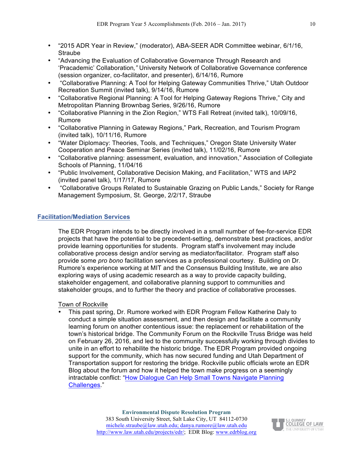- "2015 ADR Year in Review," (moderator), ABA-SEER ADR Committee webinar, 6/1/16, Straube
- "Advancing the Evaluation of Collaborative Governance Through Research and 'Pracademic' Collaboration*,"* University Network of Collaborative Governance conference (session organizer, co-facilitator, and presenter), 6/14/16, Rumore
- "Collaborative Planning: A Tool for Helping Gateway Communities Thrive," Utah Outdoor Recreation Summit (invited talk), 9/14/16, Rumore
- "Collaborative Regional Planning: A Tool for Helping Gateway Regions Thrive," City and Metropolitan Planning Brownbag Series, 9/26/16, Rumore
- "Collaborative Planning in the Zion Region," WTS Fall Retreat (invited talk), 10/09/16, Rumore
- "Collaborative Planning in Gateway Regions," Park, Recreation, and Tourism Program (invited talk), 10/11/16, Rumore
- "Water Diplomacy: Theories, Tools, and Techniques," Oregon State University Water Cooperation and Peace Seminar Series (invited talk), 11/02/16, Rumore
- "Collaborative planning: assessment, evaluation, and innovation," Association of Collegiate Schools of Planning, 11/04/16
- "Public Involvement, Collaborative Decision Making, and Facilitation," WTS and IAP2 (invited panel talk), 1/17/17, Rumore
- "Collaborative Groups Related to Sustainable Grazing on Public Lands," Society for Range Management Symposium, St. George, 2/2/17, Straube

# **Facilitation/Mediation Services**

The EDR Program intends to be directly involved in a small number of fee-for-service EDR projects that have the potential to be precedent-setting, demonstrate best practices, and/or provide learning opportunities for students. Program staff's involvement may include collaborative process design and/or serving as mediator/facilitator. Program staff also provide some *pro bono* facilitation services as a professional courtesy. Building on Dr. Rumore's experience working at MIT and the Consensus Building Institute, we are also exploring ways of using academic research as a way to provide capacity building, stakeholder engagement, and collaborative planning support to communities and stakeholder groups, and to further the theory and practice of collaborative processes.

## Town of Rockville

• This past spring, Dr. Rumore worked with EDR Program Fellow Katherine Daly to conduct a simple situation assessment, and then design and facilitate a community learning forum on another contentious issue: the replacement or rehabilitation of the town's historical bridge. The Community Forum on the Rockville Truss Bridge was held on February 26, 2016, and led to the community successfully working through divides to unite in an effort to rehabilite the historic bridge. The EDR Program provided ongoing support for the community, which has now secured funding and Utah Department of Transportation support for restoring the bridge. Rockville public officials wrote an EDR Blog about the forum and how it helped the town make progress on a seemingly intractable conflict: "How Dialogue Can Help Small Towns Navigate Planning Challenges."

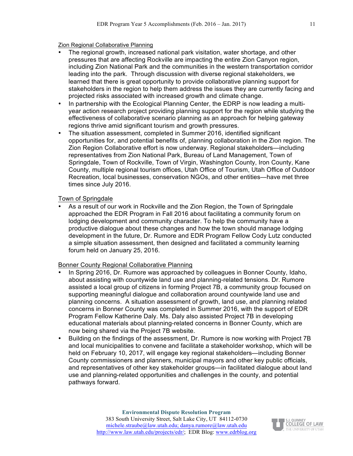Zion Regional Collaborative Planning

- The regional growth, increased national park visitation, water shortage, and other pressures that are affecting Rockville are impacting the entire Zion Canyon region, including Zion National Park and the communities in the western transportation corridor leading into the park. Through discussion with diverse regional stakeholders, we learned that there is great opportunity to provide collaborative planning support for stakeholders in the region to help them address the issues they are currently facing and projected risks associated with increased growth and climate change.
- In partnership with the Ecological Planning Center, the EDRP is now leading a multiyear action research project providing planning support for the region while studying the effectiveness of collaborative scenario planning as an approach for helping gateway regions thrive amid significant tourism and growth pressures.
- The situation assessment, completed in Summer 2016, identified significant opportunities for, and potential benefits of, planning collaboration in the Zion region. The Zion Region Collaborative effort is now underway. Regional stakeholders—including representatives from Zion National Park, Bureau of Land Management, Town of Springdale, Town of Rockville, Town of Virgin, Washington County, Iron County, Kane County, multiple regional tourism offices, Utah Office of Tourism, Utah Office of Outdoor Recreation, local businesses, conservation NGOs, and other entities—have met three times since July 2016.

## Town of Springdale

• As a result of our work in Rockville and the Zion Region, the Town of Springdale approached the EDR Program in Fall 2016 about facilitating a community forum on lodging development and community character. To help the community have a productive dialogue about these changes and how the town should manage lodging development in the future, Dr. Rumore and EDR Program Fellow Cody Lutz conducted a simple situation assessment, then designed and facilitated a community learning forum held on January 25, 2016.

#### Bonner County Regional Collaborative Planning

- In Spring 2016, Dr. Rumore was approached by colleagues in Bonner County, Idaho, about assisting with countywide land use and planning-related tensions. Dr. Rumore assisted a local group of citizens in forming Project 7B, a community group focused on supporting meaningful dialogue and collaboration around countywide land use and planning concerns. A situation assessment of growth, land use, and planning related concerns in Bonner County was completed in Summer 2016, with the support of EDR Program Fellow Katherine Daly. Ms. Daly also assisted Project 7B in developing educational materials about planning-related concerns in Bonner County, which are now being shared via the Project 7B website.
- Building on the findings of the assessment, Dr. Rumore is now working with Project 7B and local municipalities to convene and facilitate a stakeholder workshop, which will be held on February 10, 2017, will engage key regional stakeholders—including Bonner County commissioners and planners, municipal mayors and other key public officials, and representatives of other key stakeholder groups—in facilitated dialogue about land use and planning-related opportunities and challenges in the county, and potential pathways forward.

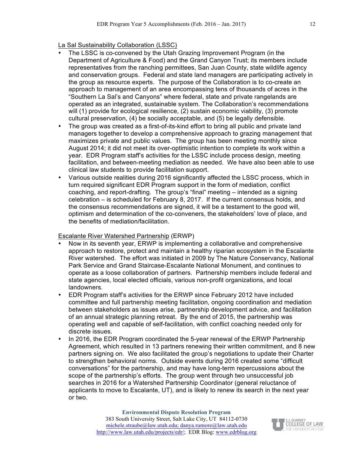La Sal Sustainability Collaboration (LSSC)

- The LSSC is co-convened by the Utah Grazing Improvement Program (in the Department of Agriculture & Food) and the Grand Canyon Trust; its members include representatives from the ranching permittees, San Juan County, state wildlife agency and conservation groups. Federal and state land managers are participating actively in the group as resource experts. The purpose of the Collaboration is to co-create an approach to management of an area encompassing tens of thousands of acres in the "Southern La Sal's and Canyons" where federal, state and private rangelands are operated as an integrated, sustainable system. The Collaboration's recommendations will (1) provide for ecological resilience, (2) sustain economic viability, (3) promote cultural preservation, (4) be socially acceptable, and (5) be legally defensible.
- The group was created as a first-of-its-kind effort to bring all public and private land managers together to develop a comprehensive approach to grazing management that maximizes private and public values. The group has been meeting monthly since August 2014; it did not meet its over-optimistic intention to complete its work within a year. EDR Program staff's activities for the LSSC include process design, meeting facilitation, and between-meeting mediation as needed. We have also been able to use clinical law students to provide facilitation support.
- Various outside realities during 2016 significantly affected the LSSC process, which in turn required significant EDR Program support in the form of mediation, conflict coaching, and report-drafting. The group's "final" meeting – intended as a signing celebration – is scheduled for February 8, 2017. If the current consensus holds, and the consensus recommendations are signed, it will be a testament to the good will, optimism and determination of the co-conveners, the stakeholders' love of place, and the benefits of mediation/facilitation.

#### Escalante River Watershed Partnership (ERWP)

- Now in its seventh year, ERWP is implementing a collaborative and comprehensive approach to restore, protect and maintain a healthy riparian ecosystem in the Escalante River watershed. The effort was initiated in 2009 by The Nature Conservancy, National Park Service and Grand Staircase-Escalante National Monument, and continues to operate as a loose collaboration of partners. Partnership members include federal and state agencies, local elected officials, various non-profit organizations, and local landowners.
- EDR Program staff's activities for the ERWP since February 2012 have included committee and full partnership meeting facilitation, ongoing coordination and mediation between stakeholders as issues arise, partnership development advice, and facilitation of an annual strategic planning retreat. By the end of 2015, the partnership was operating well and capable of self-facilitation, with conflict coaching needed only for discrete issues.
- In 2016, the EDR Program coordinated the 5-year renewal of the ERWP Partnership Agreement, which resulted in 13 partners renewing their written commitment, and 8 new partners signing on. We also facilitated the group's negotiations to update their Charter to strengthen behavioral norms. Outside events during 2016 created some "difficult conversations" for the partnership, and may have long-term repercussions about the scope of the partnership's efforts. The group went through two unsuccessful job searches in 2016 for a Watershed Partnership Coordinator (general reluctance of applicants to move to Escalante, UT), and is likely to renew its search in the next year or two.